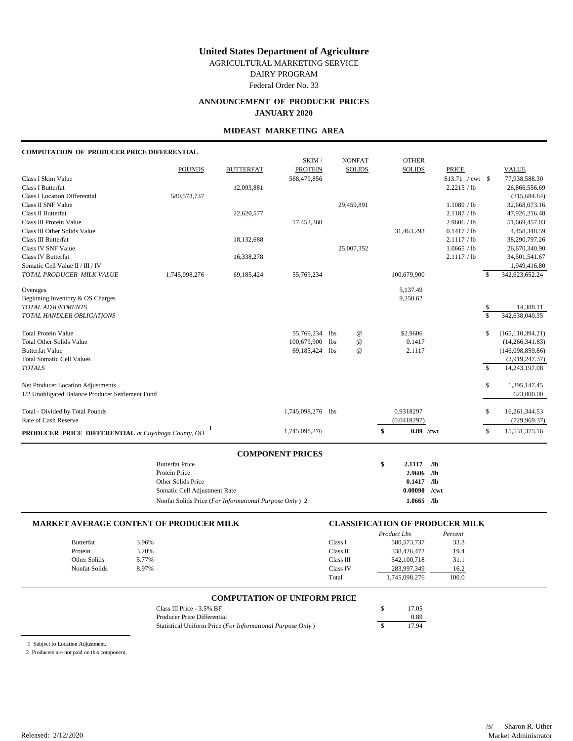AGRICULTURAL MARKETING SERVICE

DAIRY PROGRAM

Federal Order No. 33

# **ANNOUNCEMENT OF PRODUCER PRICES JANUARY 2020**

### **MIDEAST MARKETING AREA**

### **COMPUTATION OF PRODUCER PRICE DIFFERENTIAL**

|                                                           |               |                  | SKIM /            |                 | <b>NONFAT</b>   | <b>OTHER</b>      |              |                    |              |                    |
|-----------------------------------------------------------|---------------|------------------|-------------------|-----------------|-----------------|-------------------|--------------|--------------------|--------------|--------------------|
|                                                           | <b>POUNDS</b> | <b>BUTTERFAT</b> | <b>PROTEIN</b>    |                 | <b>SOLIDS</b>   | <b>SOLIDS</b>     | <b>PRICE</b> |                    |              | <b>VALUE</b>       |
| Class I Skim Value                                        |               |                  | 568,479,856       |                 |                 |                   |              | $$13.71$ / cwt \\$ |              | 77,938,588.30      |
| <b>Class I Butterfat</b>                                  |               | 12,093,881       |                   |                 |                 |                   | 2.2215 / lb  |                    |              | 26,866,556.69      |
| <b>Class I Location Differential</b>                      | 580, 573, 737 |                  |                   |                 |                 |                   |              |                    |              | (315, 684.64)      |
| Class II SNF Value                                        |               |                  |                   |                 | 29,459,891      |                   | 1.1089 / lb  |                    |              | 32,668,073.16      |
| Class II Butterfat                                        |               | 22,620,577       |                   |                 |                 |                   | 2.1187 / lb  |                    |              | 47,926,216.48      |
| Class III Protein Value                                   |               |                  | 17,452,360        |                 |                 |                   | 2.9606 / lb  |                    |              | 51,669,457.03      |
| Class III Other Solids Value                              |               |                  |                   |                 |                 | 31,463,293        | 0.1417 / lb  |                    |              | 4,458,348.59       |
| Class III Butterfat                                       |               | 18,132,688       |                   |                 |                 |                   | 2.1117 / lb  |                    |              | 38,290,797.26      |
| <b>Class IV SNF Value</b>                                 |               |                  |                   |                 | 25,007,352      |                   | 1.0665 / lb  |                    |              | 26,670,340.90      |
| <b>Class IV Butterfat</b>                                 |               | 16,338,278       |                   |                 |                 |                   | 2.1117 / lb  |                    |              | 34,501,541.67      |
| Somatic Cell Value II / III / IV                          |               |                  |                   |                 |                 |                   |              |                    |              | 1,949,416.80       |
| TOTAL PRODUCER MILK VALUE                                 | 1,745,098,276 | 69,185,424       | 55,769,234        |                 |                 | 100,679,900       |              |                    | \$           | 342,623,652.24     |
| Overages                                                  |               |                  |                   |                 |                 | 5,137.49          |              |                    |              |                    |
| Beginning Inventory & OS Charges                          |               |                  |                   |                 |                 | 9,250.62          |              |                    |              |                    |
| <b>TOTAL ADJUSTMENTS</b>                                  |               |                  |                   |                 |                 |                   |              |                    | \$           | 14,388.11          |
| TOTAL HANDLER OBLIGATIONS                                 |               |                  |                   |                 |                 |                   |              |                    | \$           | 342,638,040.35     |
| <b>Total Protein Value</b>                                |               |                  | 55,769,234        | lbs             | $^{\copyright}$ | \$2.9606          |              |                    | \$           | (165, 110, 394.21) |
| <b>Total Other Solids Value</b>                           |               |                  | 100,679,900       | 1 <sub>bs</sub> | $^{\copyright}$ | 0.1417            |              |                    |              | (14, 266, 341.83)  |
| <b>Butterfat Value</b>                                    |               |                  | 69,185,424        | <b>lbs</b>      | $^{\copyright}$ | 2.1117            |              |                    |              | (146,098,859.86)   |
| <b>Total Somatic Cell Values</b>                          |               |                  |                   |                 |                 |                   |              |                    |              | (2,919,247.37)     |
| <b>TOTALS</b>                                             |               |                  |                   |                 |                 |                   |              |                    | $\mathbb{S}$ | 14,243,197.08      |
| Net Producer Location Adjustments                         |               |                  |                   |                 |                 |                   |              |                    | \$           | 1,395,147.45       |
| 1/2 Unobligated Balance Producer Settlement Fund          |               |                  |                   |                 |                 |                   |              |                    |              | 623,000.00         |
| Total - Divided by Total Pounds                           |               |                  | 1,745,098,276 lbs |                 |                 | 0.9318297         |              |                    | \$           | 16,261,344.53      |
| Rate of Cash Reserve                                      |               |                  |                   |                 |                 | (0.0418297)       |              |                    |              | (729, 969.37)      |
| <b>PRODUCER PRICE DIFFERENTIAL</b> at Cuyahoga County, OH |               |                  | 1,745,098,276     |                 |                 | \$<br>$0.89$ /cwt |              |                    | \$           | 15,531,375.16      |
|                                                           |               |                  |                   |                 |                 |                   |              |                    |              |                    |

| <b>Butterfat Price</b>                                 | S | 2.1117  | /1Ь     |
|--------------------------------------------------------|---|---------|---------|
| Protein Price                                          |   | 2.9606  | ЛЬ      |
| Other Solids Price                                     |   | 0.1417  | ЛЬ      |
| Somatic Cell Adjustment Rate                           |   | 0.00090 | $/$ cwt |
| Nonfat Solids Price (For Informational Purpose Only) 2 |   | 1.0665  | /1Ь     |

| <b>MARKET AVERAGE CONTENT OF PRODUCER MILK</b> |       |           | <b>CLASSIFICATION OF PRODUCER MILK</b> |         |  |
|------------------------------------------------|-------|-----------|----------------------------------------|---------|--|
|                                                |       |           | Product Lbs                            | Percent |  |
| <b>Butterfat</b>                               | 3.96% | Class I   | 580,573,737                            | 33.3    |  |
| Protein                                        | 3.20% | Class II  | 338,426,472                            | 19.4    |  |
| Other Solids                                   | 5.77% | Class III | 542,100,718                            | 31.1    |  |
| Nonfat Solids                                  | 8.97% | Class IV  | 283,997,349                            | 16.2    |  |
|                                                |       | Total     | 1.745.098.276                          | 100.0   |  |

### **COMPUTATION OF UNIFORM PRICE**

| Class III Price $-3.5\%$ BF                                | 17.05 |
|------------------------------------------------------------|-------|
| Producer Price Differential                                | 0.89  |
| Statistical Uniform Price (For Informational Purpose Only) | 17.94 |

1 Subject to Location Adjustment.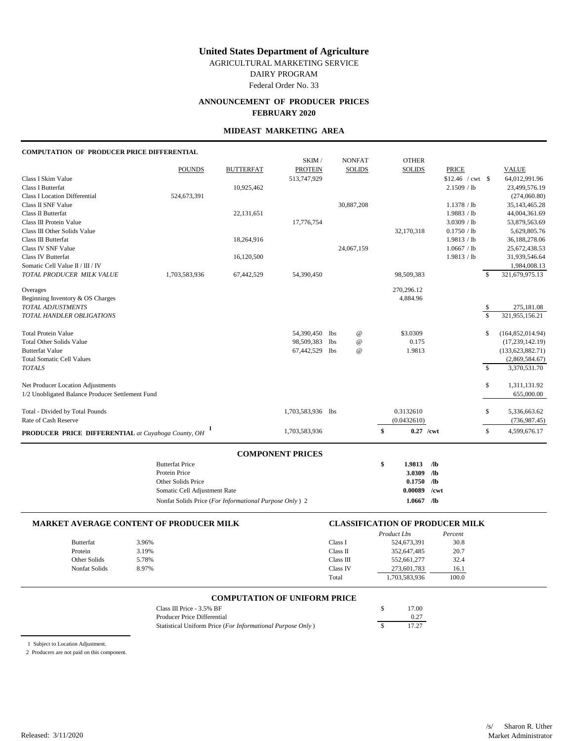AGRICULTURAL MARKETING SERVICE

DAIRY PROGRAM

Federal Order No. 33

# **ANNOUNCEMENT OF PRODUCER PRICES FEBRUARY 2020**

### **MIDEAST MARKETING AREA**

### **COMPUTATION OF PRODUCER PRICE DIFFERENTIAL**

|                                                           |               |                  | SKIM/             |                 | <b>NONFAT</b>   | <b>OTHER</b>      |              |                           |                    |
|-----------------------------------------------------------|---------------|------------------|-------------------|-----------------|-----------------|-------------------|--------------|---------------------------|--------------------|
|                                                           | <b>POUNDS</b> | <b>BUTTERFAT</b> | <b>PROTEIN</b>    |                 | <b>SOLIDS</b>   | <b>SOLIDS</b>     | <b>PRICE</b> |                           | <b>VALUE</b>       |
| Class I Skim Value                                        |               |                  | 513,747,929       |                 |                 |                   |              |                           | 64,012,991.96      |
| <b>Class I Butterfat</b>                                  |               | 10,925,462       |                   |                 |                 |                   | 2.1509 / lb  |                           | 23,499,576.19      |
| <b>Class I Location Differential</b>                      | 524,673,391   |                  |                   |                 |                 |                   |              |                           | (274,060.80)       |
| Class II SNF Value                                        |               |                  |                   |                 | 30,887,208      |                   | 1.1378 / lb  |                           | 35, 143, 465. 28   |
| Class II Butterfat                                        |               | 22,131,651       |                   |                 |                 |                   | 1.9883 / lb  |                           | 44,004,361.69      |
| Class III Protein Value                                   |               |                  | 17,776,754        |                 |                 |                   | 3.0309 / lb  |                           | 53,879,563.69      |
| Class III Other Solids Value                              |               |                  |                   |                 |                 | 32,170,318        | 0.1750 / lb  |                           | 5,629,805.76       |
| Class III Butterfat                                       |               | 18,264,916       |                   |                 |                 |                   | 1.9813 / lb  |                           | 36,188,278.06      |
| Class IV SNF Value                                        |               |                  |                   |                 | 24,067,159      |                   | 1.0667 / lb  |                           | 25,672,438.53      |
| <b>Class IV Butterfat</b>                                 |               | 16,120,500       |                   |                 |                 |                   | 1.9813 / lb  |                           | 31,939,546.64      |
| Somatic Cell Value II / III / IV                          |               |                  |                   |                 |                 |                   |              |                           | 1,984,008.13       |
| TOTAL PRODUCER MILK VALUE                                 | 1,703,583,936 | 67,442,529       | 54,390,450        |                 |                 | 98,509,383        |              | $\mathbb{S}$              | 321,679,975.13     |
| Overages                                                  |               |                  |                   |                 |                 | 270,296.12        |              |                           |                    |
| Beginning Inventory & OS Charges                          |               |                  |                   |                 |                 | 4,884.96          |              |                           |                    |
| <b>TOTAL ADJUSTMENTS</b>                                  |               |                  |                   |                 |                 |                   |              | $\boldsymbol{\mathsf{S}}$ | 275,181.08         |
| <b>TOTAL HANDLER OBLIGATIONS</b>                          |               |                  |                   |                 |                 |                   |              | $\mathbf{\hat{S}}$        | 321,955,156.21     |
| <b>Total Protein Value</b>                                |               |                  | 54,390,450 lbs    |                 | $^{\copyright}$ | \$3,0309          |              | \$                        | (164, 852, 014.94) |
| <b>Total Other Solids Value</b>                           |               |                  | 98,509,383        | 1 <sub>bs</sub> | $^{\copyright}$ | 0.175             |              |                           | (17, 239, 142.19)  |
| <b>Butterfat Value</b>                                    |               |                  | 67,442,529        | 1bs             | $^{\copyright}$ | 1.9813            |              |                           | (133, 623, 882.71) |
| <b>Total Somatic Cell Values</b>                          |               |                  |                   |                 |                 |                   |              |                           | (2,869,584.67)     |
| <b>TOTALS</b>                                             |               |                  |                   |                 |                 |                   |              | $\mathbb{S}$              | 3,370,531.70       |
| Net Producer Location Adjustments                         |               |                  |                   |                 |                 |                   |              | \$                        | 1,311,131.92       |
| 1/2 Unobligated Balance Producer Settlement Fund          |               |                  |                   |                 |                 |                   |              |                           | 655,000.00         |
| Total - Divided by Total Pounds                           |               |                  | 1,703,583,936 lbs |                 |                 | 0.3132610         |              | \$                        | 5,336,663.62       |
| Rate of Cash Reserve                                      |               |                  |                   |                 |                 | (0.0432610)       |              |                           | (736, 987.45)      |
| <b>PRODUCER PRICE DIFFERENTIAL</b> at Cuyahoga County, OH |               |                  | 1,703,583,936     |                 |                 | \$<br>$0.27$ /cwt |              | \$                        | 4,599,676.17       |
|                                                           |               |                  |                   |                 |                 |                   |              |                           |                    |

| <b>Butterfat Price</b>                                 | S | 1.9813  | ЛЬ         |
|--------------------------------------------------------|---|---------|------------|
| Protein Price                                          |   | 3.0309  | /Љ         |
| Other Solids Price                                     |   | 0.1750  | /Љ         |
| Somatic Cell Adjustment Rate                           |   | 0.00089 | $/$ cwt    |
| Nonfat Solids Price (For Informational Purpose Only) 2 |   | 1.0667  | $\sqrt{2}$ |

| <b>MARKET AVERAGE CONTENT OF PRODUCER MILK</b> |       |           | <b>CLASSIFICATION OF PRODUCER MILK</b> |         |  |
|------------------------------------------------|-------|-----------|----------------------------------------|---------|--|
|                                                |       |           | Product Lbs                            | Percent |  |
| Butterfat                                      | 3.96% | Class I   | 524,673,391                            | 30.8    |  |
| Protein                                        | 3.19% | Class II  | 352,647,485                            | 20.7    |  |
| Other Solids                                   | 5.78% | Class III | 552,661,277                            | 32.4    |  |
| Nonfat Solids                                  | 8.97% | Class IV  | 273,601,783                            | 16.1    |  |
|                                                |       | Total     | 1.703.583.936                          | 100.0   |  |

### **COMPUTATION OF UNIFORM PRICE**

| Class III Price $-3.5\%$ BF                                | 17.00 |
|------------------------------------------------------------|-------|
| Producer Price Differential                                | 0.27  |
| Statistical Uniform Price (For Informational Purpose Only) | 17.27 |

1 Subject to Location Adjustment.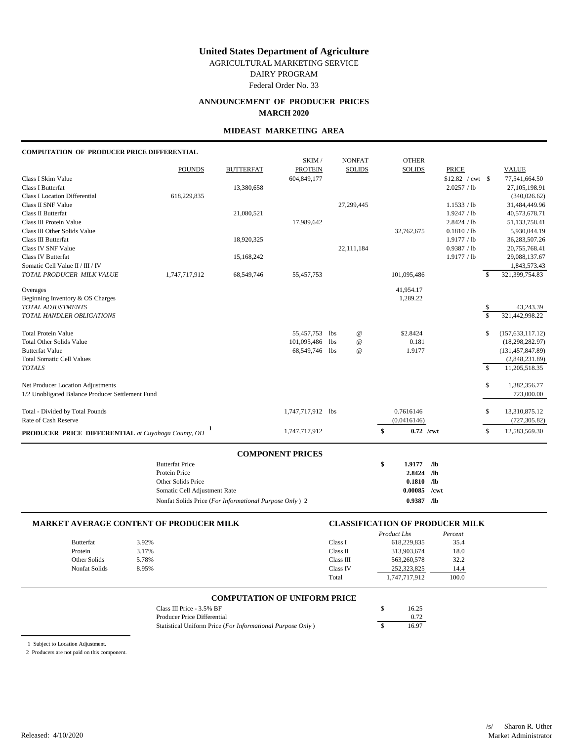AGRICULTURAL MARKETING SERVICE

DAIRY PROGRAM

Federal Order No. 33

# **ANNOUNCEMENT OF PRODUCER PRICES MARCH 2020**

### **MIDEAST MARKETING AREA**

### **COMPUTATION OF PRODUCER PRICE DIFFERENTIAL**

|                                                           |               |                  | SKIM /            |            | <b>NONFAT</b>   | <b>OTHER</b>      |                   |               |                    |
|-----------------------------------------------------------|---------------|------------------|-------------------|------------|-----------------|-------------------|-------------------|---------------|--------------------|
|                                                           | <b>POUNDS</b> | <b>BUTTERFAT</b> | <b>PROTEIN</b>    |            | <b>SOLIDS</b>   | <b>SOLIDS</b>     | <b>PRICE</b>      |               | <b>VALUE</b>       |
| Class I Skim Value                                        |               |                  | 604,849,177       |            |                 |                   | $$12.82$ / cwt \$ |               | 77,541,664.50      |
| <b>Class I Butterfat</b>                                  |               | 13,380,658       |                   |            |                 |                   | 2.0257 / lb       |               | 27, 105, 198. 91   |
| <b>Class I Location Differential</b>                      | 618,229,835   |                  |                   |            |                 |                   |                   |               | (340, 026.62)      |
| Class II SNF Value                                        |               |                  |                   |            | 27,299,445      |                   | 1.1533 / lb       |               | 31,484,449.96      |
| Class II Butterfat                                        |               | 21,080,521       |                   |            |                 |                   | 1.9247 / lb       |               | 40,573,678.71      |
| Class III Protein Value                                   |               |                  | 17,989,642        |            |                 |                   | 2.8424 / lb       |               | 51,133,758.41      |
| Class III Other Solids Value                              |               |                  |                   |            |                 | 32,762,675        | 0.1810 / lb       |               | 5,930,044.19       |
| Class III Butterfat                                       |               | 18,920,325       |                   |            |                 |                   | 1.9177 / lb       |               | 36,283,507.26      |
| Class IV SNF Value                                        |               |                  |                   |            | 22,111,184      |                   | 0.9387 / lb       |               | 20,755,768.41      |
| <b>Class IV Butterfat</b>                                 |               | 15,168,242       |                   |            |                 |                   | 1.9177 / lb       |               | 29,088,137.67      |
| Somatic Cell Value II / III / IV                          |               |                  |                   |            |                 |                   |                   |               | 1,843,573.43       |
| TOTAL PRODUCER MILK VALUE                                 | 1,747,717,912 | 68,549,746       | 55,457,753        |            |                 | 101,095,486       |                   | \$            | 321,399,754.83     |
| Overages                                                  |               |                  |                   |            |                 | 41,954.17         |                   |               |                    |
| Beginning Inventory & OS Charges                          |               |                  |                   |            |                 | 1,289.22          |                   |               |                    |
| <b>TOTAL ADJUSTMENTS</b>                                  |               |                  |                   |            |                 |                   |                   | \$            | 43,243.39          |
| TOTAL HANDLER OBLIGATIONS                                 |               |                  |                   |            |                 |                   |                   | \$            | 321,442,998.22     |
| <b>Total Protein Value</b>                                |               |                  | 55,457,753        | <b>lbs</b> | $^{\copyright}$ | \$2.8424          |                   | \$            | (157, 633, 117.12) |
| <b>Total Other Solids Value</b>                           |               |                  | 101,095,486       | <b>lbs</b> | $^{\copyright}$ | 0.181             |                   |               | (18, 298, 282.97)  |
| <b>Butterfat Value</b>                                    |               |                  | 68,549,746 lbs    |            | $^{\omega}$     | 1.9177            |                   |               | (131, 457, 847.89) |
| <b>Total Somatic Cell Values</b>                          |               |                  |                   |            |                 |                   |                   |               | (2,848,231.89)     |
| <b>TOTALS</b>                                             |               |                  |                   |            |                 |                   |                   | $\mathcal{S}$ | 11,205,518.35      |
| Net Producer Location Adjustments                         |               |                  |                   |            |                 |                   |                   | \$            | 1,382,356.77       |
| 1/2 Unobligated Balance Producer Settlement Fund          |               |                  |                   |            |                 |                   |                   |               | 723,000.00         |
| Total - Divided by Total Pounds                           |               |                  | 1,747,717,912 lbs |            |                 | 0.7616146         |                   | \$            | 13,310,875.12      |
| Rate of Cash Reserve                                      |               |                  |                   |            |                 | (0.0416146)       |                   |               | (727, 305.82)      |
| <b>PRODUCER PRICE DIFFERENTIAL</b> at Cuvahoga County, OH |               |                  | 1,747,717,912     |            |                 | \$<br>$0.72$ /cwt |                   | \$            | 12,583,569.30      |

| <b>COMPONENT PRICES</b>                                |   |         |            |
|--------------------------------------------------------|---|---------|------------|
| <b>Butterfat Price</b>                                 | S | 1.9177  | ЛЬ         |
| Protein Price                                          |   | 2.8424  | /Љ         |
| Other Solids Price                                     |   | 0.1810  | $\sqrt{2}$ |
| Somatic Cell Adjustment Rate                           |   | 0.00085 | /cwt       |
| Nonfat Solids Price (For Informational Purpose Only) 2 |   | 0.9387  | $\sqrt{2}$ |

|                  | <b>MARKET AVERAGE CONTENT OF PRODUCER MILK</b> |           | <b>CLASSIFICATION OF PRODUCER MILK</b> |         |  |
|------------------|------------------------------------------------|-----------|----------------------------------------|---------|--|
|                  |                                                |           | Product Lbs                            | Percent |  |
| <b>Butterfat</b> | 3.92%                                          | Class I   | 618.229.835                            | 35.4    |  |
| Protein          | 3.17%                                          | Class II  | 313,903,674                            | 18.0    |  |
| Other Solids     | 5.78%                                          | Class III | 563,260,578                            | 32.2    |  |
| Nonfat Solids    | 8.95%                                          | Class IV  | 252,323,825                            | 14.4    |  |
|                  |                                                | Total     | 1.747.717.912                          | 100.0   |  |

### **COMPUTATION OF UNIFORM PRICE**

| Class III Price $-3.5\%$ BF                                | 16.25 |
|------------------------------------------------------------|-------|
| Producer Price Differential                                | 0.72  |
| Statistical Uniform Price (For Informational Purpose Only) | 16.97 |

1 Subject to Location Adjustment.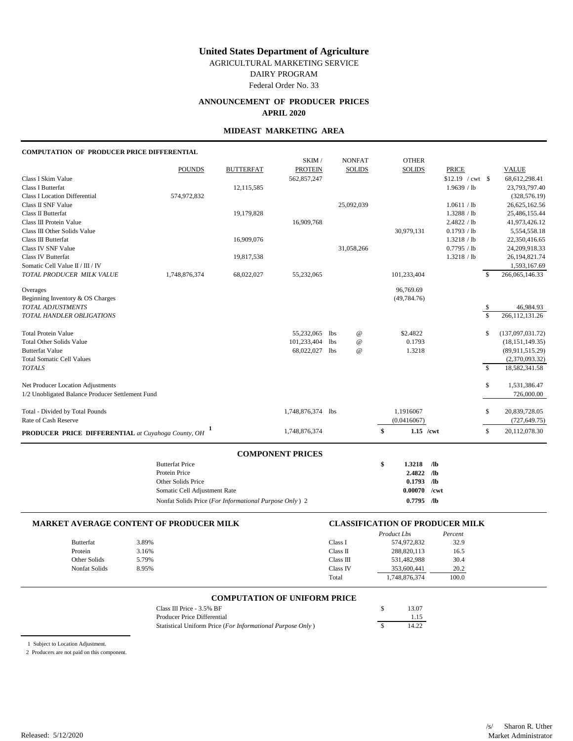AGRICULTURAL MARKETING SERVICE

DAIRY PROGRAM

Federal Order No. 33

# **ANNOUNCEMENT OF PRODUCER PRICES APRIL 2020**

### **MIDEAST MARKETING AREA**

### **COMPUTATION OF PRODUCER PRICE DIFFERENTIAL**

|                                                           |               |                  | SKIM /            |                 | <b>NONFAT</b>   | <b>OTHER</b>      |                   |               |                   |
|-----------------------------------------------------------|---------------|------------------|-------------------|-----------------|-----------------|-------------------|-------------------|---------------|-------------------|
|                                                           | <b>POUNDS</b> | <b>BUTTERFAT</b> | <b>PROTEIN</b>    |                 | <b>SOLIDS</b>   | <b>SOLIDS</b>     | <b>PRICE</b>      |               | <b>VALUE</b>      |
| Class I Skim Value                                        |               |                  | 562,857,247       |                 |                 |                   | $$12.19$ / cwt \$ |               | 68,612,298.41     |
| <b>Class I Butterfat</b>                                  |               | 12,115,585       |                   |                 |                 |                   | 1.9639 / lb       |               | 23,793,797.40     |
| <b>Class I Location Differential</b>                      | 574,972,832   |                  |                   |                 |                 |                   |                   |               | (328, 576.19)     |
| Class II SNF Value                                        |               |                  |                   |                 | 25,092,039      |                   | 1.0611 / lb       |               | 26,625,162.56     |
| Class II Butterfat                                        |               | 19,179,828       |                   |                 |                 |                   | 1.3288 / lb       |               | 25,486,155.44     |
| Class III Protein Value                                   |               |                  | 16,909,768        |                 |                 |                   | 2.4822 / lb       |               | 41,973,426.12     |
| Class III Other Solids Value                              |               |                  |                   |                 |                 | 30,979,131        | 0.1793 / lb       |               | 5,554,558.18      |
| Class III Butterfat                                       |               | 16,909,076       |                   |                 |                 |                   | 1.3218 / lb       |               | 22,350,416.65     |
| <b>Class IV SNF Value</b>                                 |               |                  |                   |                 | 31,058,266      |                   | 0.7795 / lb       |               | 24,209,918.33     |
| Class IV Butterfat                                        |               | 19,817,538       |                   |                 |                 |                   | 1.3218 / lb       |               | 26, 194, 821.74   |
| Somatic Cell Value II / III / IV                          |               |                  |                   |                 |                 |                   |                   |               | 1,593,167.69      |
| TOTAL PRODUCER MILK VALUE                                 | 1,748,876,374 | 68,022,027       | 55,232,065        |                 |                 | 101,233,404       |                   | \$            | 266,065,146.33    |
| Overages                                                  |               |                  |                   |                 |                 | 96,769.69         |                   |               |                   |
| Beginning Inventory & OS Charges                          |               |                  |                   |                 |                 | (49, 784.76)      |                   |               |                   |
| <b>TOTAL ADJUSTMENTS</b>                                  |               |                  |                   |                 |                 |                   |                   | \$            | 46,984.93         |
| TOTAL HANDLER OBLIGATIONS                                 |               |                  |                   |                 |                 |                   |                   | \$            | 266, 112, 131.26  |
| <b>Total Protein Value</b>                                |               |                  | 55,232,065        | <b>lbs</b>      | $^{\copyright}$ | \$2.4822          |                   | \$            | (137,097,031.72)  |
| <b>Total Other Solids Value</b>                           |               |                  | 101,233,404       | 1 <sub>bs</sub> | $^{\copyright}$ | 0.1793            |                   |               | (18, 151, 149.35) |
| <b>Butterfat Value</b>                                    |               |                  | 68,022,027        | 1 <sub>bs</sub> | $^{\omega}$     | 1.3218            |                   |               | (89,911,515.29)   |
| <b>Total Somatic Cell Values</b>                          |               |                  |                   |                 |                 |                   |                   |               | (2,370,093.32)    |
| <b>TOTALS</b>                                             |               |                  |                   |                 |                 |                   |                   | $\mathcal{S}$ | 18,582,341.58     |
| Net Producer Location Adjustments                         |               |                  |                   |                 |                 |                   |                   | \$            | 1,531,386.47      |
| 1/2 Unobligated Balance Producer Settlement Fund          |               |                  |                   |                 |                 |                   |                   |               | 726,000.00        |
| Total - Divided by Total Pounds                           |               |                  | 1,748,876,374 lbs |                 |                 | 1.1916067         |                   | \$            | 20,839,728.05     |
| Rate of Cash Reserve                                      |               |                  |                   |                 |                 | (0.0416067)       |                   |               | (727, 649.75)     |
| <b>PRODUCER PRICE DIFFERENTIAL</b> at Cuvahoga County, OH |               |                  | 1,748,876,374     |                 |                 | \$<br>$1.15$ /cwt |                   | \$            | 20,112,078.30     |
|                                                           |               |                  |                   |                 |                 |                   |                   |               |                   |

| <b>Butterfat Price</b>                                 | S | 1.3218  | ЛЬ   |
|--------------------------------------------------------|---|---------|------|
| Protein Price                                          |   | 2.4822  | ЛЬ   |
| Other Solids Price                                     |   | 0.1793  | ЛЬ   |
| Somatic Cell Adjustment Rate                           |   | 0.00070 | /cwt |
| Nonfat Solids Price (For Informational Purpose Only) 2 |   | 0.7795  | ЛЬ   |

| <b>MARKET AVERAGE CONTENT OF PRODUCER MILK</b> |       | <b>CLASSIFICATION OF PRODUCER MILK</b> |               |         |  |
|------------------------------------------------|-------|----------------------------------------|---------------|---------|--|
|                                                |       |                                        | Product Lbs   | Percent |  |
| <b>Butterfat</b>                               | 3.89% | Class I                                | 574,972,832   | 32.9    |  |
| Protein                                        | 3.16% | Class II                               | 288,820,113   | 16.5    |  |
| Other Solids                                   | 5.79% | Class III                              | 531,482,988   | 30.4    |  |
| Nonfat Solids                                  | 8.95% | Class IV                               | 353,600,441   | 20.2    |  |
|                                                |       | Total                                  | 1.748.876.374 | 100.0   |  |

### **COMPUTATION OF UNIFORM PRICE**

| Class III Price $-3.5\%$ BF                                | 13.07 |
|------------------------------------------------------------|-------|
| Producer Price Differential                                | 1.15  |
| Statistical Uniform Price (For Informational Purpose Only) | 14.22 |

1 Subject to Location Adjustment.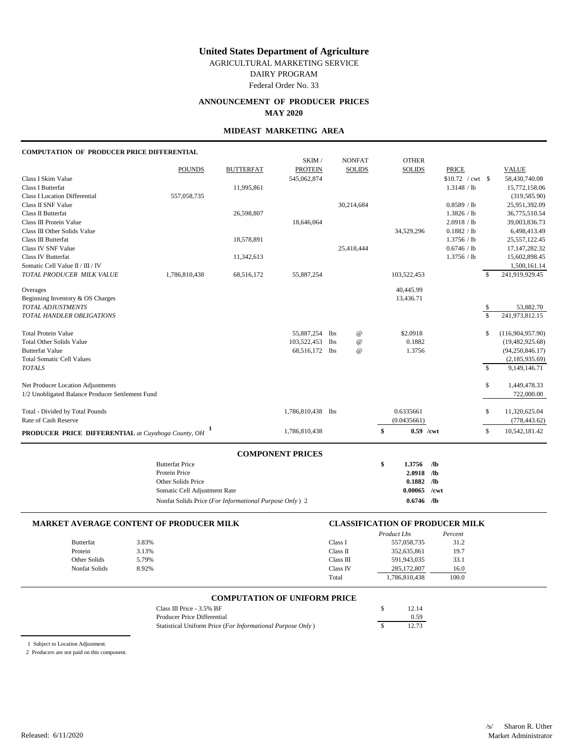AGRICULTURAL MARKETING SERVICE

DAIRY PROGRAM

Federal Order No. 33

# **ANNOUNCEMENT OF PRODUCER PRICES MAY 2020**

### **MIDEAST MARKETING AREA**

### **COMPUTATION OF PRODUCER PRICE DIFFERENTIAL**

|                                                               |               |                  | COMPONENT PRICES  |                      |                          |                   |              |                                     |
|---------------------------------------------------------------|---------------|------------------|-------------------|----------------------|--------------------------|-------------------|--------------|-------------------------------------|
| <b>PRODUCER PRICE DIFFERENTIAL</b> at Cuyahoga County, OH     |               |                  | 1,786,810,438     |                      | \$<br>$0.59$ /cwt        |                   | \$           | 10,542,181.42                       |
| Total - Divided by Total Pounds<br>Rate of Cash Reserve       |               |                  | 1,786,810,438 lbs |                      | 0.6335661<br>(0.0435661) |                   | \$           | 11,320,625.04<br>(778, 443.62)      |
| 1/2 Unobligated Balance Producer Settlement Fund              |               |                  |                   |                      |                          |                   |              | 722,000.00                          |
| Net Producer Location Adjustments                             |               |                  |                   |                      |                          |                   | \$           | 1,449,478.33                        |
| <b>TOTALS</b>                                                 |               |                  |                   |                      |                          |                   | $\mathbb{S}$ | 9,149,146.71                        |
| <b>Total Somatic Cell Values</b>                              |               |                  | 68,516,172 lbs    |                      |                          |                   |              | (94, 250, 846.17)<br>(2,185,935.69) |
| <b>Total Other Solids Value</b><br><b>Butterfat Value</b>     |               |                  | 103,522,453 lbs   | $^{\copyright}$<br>@ | 0.1882<br>1.3756         |                   |              | (19, 482, 925.68)                   |
| <b>Total Protein Value</b>                                    |               |                  | 55,887,254 lbs    | $^{\copyright}$      | \$2.0918                 |                   | \$           | (116,904,957.90)                    |
| TOTAL HANDLER OBLIGATIONS                                     |               |                  |                   |                      |                          |                   | \$           | 241,973,812.15                      |
| <b>TOTAL ADJUSTMENTS</b>                                      |               |                  |                   |                      |                          |                   | \$           | 53,882.70                           |
| Beginning Inventory & OS Charges                              |               |                  |                   |                      | 13,436.71                |                   |              |                                     |
| Overages                                                      |               |                  |                   |                      | 40,445.99                |                   |              |                                     |
| Somatic Cell Value II / III / IV<br>TOTAL PRODUCER MILK VALUE | 1,786,810,438 | 68,516,172       | 55,887,254        |                      | 103,522,453              |                   | \$           | 1,500,161.14<br>241,919,929.45      |
| <b>Class IV Butterfat</b>                                     |               | 11,342,613       |                   |                      |                          | 1.3756 / lb       |              | 15,602,898.45                       |
| <b>Class IV SNF Value</b>                                     |               |                  |                   | 25,418,444           |                          | 0.6746 / lb       |              | 17, 147, 282. 32                    |
| Class III Butterfat                                           |               | 18,578,891       |                   |                      |                          | 1.3756 / lb       |              | 25,557,122.45                       |
| Class III Other Solids Value                                  |               |                  |                   |                      | 34,529,296               | 0.1882 / lb       |              | 6,498,413.49                        |
| Class III Protein Value                                       |               |                  | 18,646,064        |                      |                          | 2.0918 / lb       |              | 39,003,836.73                       |
| Class II Butterfat                                            |               | 26,598,807       |                   |                      |                          | 1.3826 / lb       |              | 36,775,510.54                       |
| Class II SNF Value                                            |               |                  |                   | 30,214,684           |                          | 0.8589 / lb       |              | 25,951,392.09                       |
| <b>Class I Location Differential</b>                          | 557,058,735   |                  |                   |                      |                          |                   |              | (319, 585.90)                       |
| <b>Class I Butterfat</b>                                      |               | 11,995,861       |                   |                      |                          | 1.3148 / lb       |              | 15,772,158.06                       |
| Class I Skim Value                                            |               |                  | 545,062,874       |                      |                          | $$10.72$ / cwt \$ |              | 58,430,740.08                       |
|                                                               | <b>POUNDS</b> | <b>BUTTERFAT</b> | <b>PROTEIN</b>    | <b>SOLIDS</b>        | <b>SOLIDS</b>            | <b>PRICE</b>      |              | <b>VALUE</b>                        |
|                                                               |               |                  | SKIM /            | <b>NONFAT</b>        | <b>OTHER</b>             |                   |              |                                     |

| COMPONENT PRICES                                       |   |                |       |
|--------------------------------------------------------|---|----------------|-------|
| <b>Butterfat Price</b>                                 | S | 1.3756         | - /lb |
| Protein Price                                          |   | $2.0918$ /lb   |       |
| Other Solids Price                                     |   | $0.1882$ /lb   |       |
| Somatic Cell Adjustment Rate                           |   | $0.00065$ /cwt |       |
| Nonfat Solids Price (For Informational Purpose Only) 2 |   | 0.6746         | - /lb |

| <b>MARKET AVERAGE CONTENT OF PRODUCER MILK</b> |       | <b>CLASSIFICATION OF PRODUCER MILK</b> |               |         |  |
|------------------------------------------------|-------|----------------------------------------|---------------|---------|--|
|                                                |       |                                        | Product Lbs   | Percent |  |
| Butterfat                                      | 3.83% | Class I                                | 557.058.735   | 31.2    |  |
| Protein                                        | 3.13% | Class II                               | 352,635,861   | 19.7    |  |
| Other Solids                                   | 5.79% | Class III                              | 591.943.035   | 33.1    |  |
| Nonfat Solids                                  | 8.92% | Class IV                               | 285,172,807   | 16.0    |  |
|                                                |       | Total                                  | 1,786,810,438 | 100.0   |  |

### **COMPUTATION OF UNIFORM PRICE**

| Class III Price - $3.5\%$ BF                               | 12.14 |
|------------------------------------------------------------|-------|
| Producer Price Differential                                | 0.59  |
| Statistical Uniform Price (For Informational Purpose Only) | 12.73 |

1 Subject to Location Adjustment.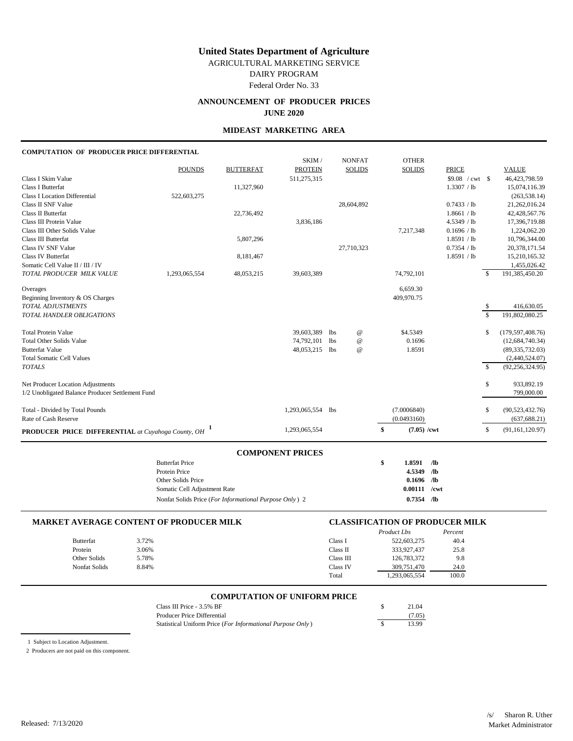AGRICULTURAL MARKETING SERVICE

DAIRY PROGRAM

Federal Order No. 33

### **ANNOUNCEMENT OF PRODUCER PRICES JUNE 2020**

### **MIDEAST MARKETING AREA**

### **COMPUTATION OF PRODUCER PRICE DIFFERENTIAL**

|                                                                        |               |                  | SKIM /         |            | <b>NONFAT</b>   | <b>OTHER</b>        |                  |             |                    |
|------------------------------------------------------------------------|---------------|------------------|----------------|------------|-----------------|---------------------|------------------|-------------|--------------------|
|                                                                        | <b>POUNDS</b> | <b>BUTTERFAT</b> | <b>PROTEIN</b> |            | <b>SOLIDS</b>   | <b>SOLIDS</b>       | <b>PRICE</b>     |             | <b>VALUE</b>       |
| Class I Skim Value                                                     |               |                  | 511,275,315    |            |                 |                     | $$9.08$ / cwt \$ |             | 46, 423, 798. 59   |
| <b>Class I Butterfat</b>                                               |               | 11,327,960       |                |            |                 |                     | 1.3307 / lb      |             | 15,074,116.39      |
| <b>Class I Location Differential</b>                                   | 522,603,275   |                  |                |            |                 |                     |                  |             | (263, 538.14)      |
| Class II SNF Value                                                     |               |                  |                |            | 28,604,892      |                     | 0.7433 / lb      |             | 21,262,016.24      |
| Class II Butterfat                                                     |               | 22,736,492       |                |            |                 |                     | 1.8661 / lb      |             | 42,428,567.76      |
| Class III Protein Value                                                |               |                  | 3,836,186      |            |                 |                     | 4.5349 / lb      |             | 17,396,719.88      |
| Class III Other Solids Value                                           |               |                  |                |            |                 | 7,217,348           | 0.1696 / lb      |             | 1,224,062.20       |
| Class III Butterfat                                                    |               | 5,807,296        |                |            |                 |                     | 1.8591 / lb      |             | 10,796,344.00      |
| Class IV SNF Value                                                     |               |                  |                |            | 27,710,323      |                     | 0.7354 / lb      |             | 20,378,171.54      |
| Class IV Butterfat                                                     |               | 8,181,467        |                |            |                 |                     | 1.8591 / lb      |             | 15,210,165.32      |
| Somatic Cell Value II / III / IV                                       |               |                  |                |            |                 |                     |                  |             | 1,455,026.42       |
| TOTAL PRODUCER MILK VALUE                                              | 1,293,065,554 | 48,053,215       | 39,603,389     |            |                 | 74,792,101          |                  | s.          | 191,385,450.20     |
| Overages                                                               |               |                  |                |            |                 | 6,659.30            |                  |             |                    |
| Beginning Inventory & OS Charges                                       |               |                  |                |            |                 | 409,970.75          |                  |             |                    |
| <b>TOTAL ADJUSTMENTS</b>                                               |               |                  |                |            |                 |                     |                  | \$          | 416,630.05         |
| TOTAL HANDLER OBLIGATIONS                                              |               |                  |                |            |                 |                     |                  | $\mathbf S$ | 191,802,080.25     |
| <b>Total Protein Value</b>                                             |               |                  | 39,603,389     | <b>lbs</b> | $^{\copyright}$ | \$4.5349            |                  | \$          | (179, 597, 408.76) |
| <b>Total Other Solids Value</b>                                        |               |                  | 74,792,101     | <b>lbs</b> | $^{\copyright}$ | 0.1696              |                  |             | (12, 684, 740.34)  |
| <b>Butterfat Value</b>                                                 |               |                  | 48,053,215     | <b>lbs</b> | $^{\omega}$     | 1.8591              |                  |             | (89, 335, 732.03)  |
| <b>Total Somatic Cell Values</b>                                       |               |                  |                |            |                 |                     |                  |             | (2,440,524.07)     |
| <b>TOTALS</b>                                                          |               |                  |                |            |                 |                     |                  | $\mathbf S$ | (92, 256, 324.95)  |
| Net Producer Location Adjustments                                      |               |                  |                |            |                 |                     |                  | \$          | 933,892.19         |
| 1/2 Unobligated Balance Producer Settlement Fund                       |               |                  |                |            |                 |                     |                  |             | 799,000.00         |
| Total - Divided by Total Pounds                                        |               |                  | 1,293,065,554  | <b>lbs</b> |                 | (7.0006840)         |                  | \$          | (90, 523, 432.76)  |
| Rate of Cash Reserve                                                   |               |                  |                |            |                 | (0.0493160)         |                  |             | (637, 688.21)      |
| <b>PRODUCER PRICE DIFFERENTIAL</b> at Cuyahoga County, OH <sup>1</sup> |               |                  | 1,293,065,554  |            |                 | \$<br>$(7.05)$ /cwt |                  | \$          | (91, 161, 120.97)  |

| <b>COMPONENT PRICES</b>                                |                |       |
|--------------------------------------------------------|----------------|-------|
| <b>Butterfat Price</b>                                 | \$<br>1.8591   | ЛЬ    |
| Protein Price                                          | 4.5349         | - /lb |
| Other Solids Price                                     | $0.1696$ /lb   |       |
| Somatic Cell Adjustment Rate                           | $0.00111$ /cwt |       |
| Nonfat Solids Price (For Informational Purpose Only) 2 | 0.7354         | /lb   |

| <b>MARKET AVERAGE CONTENT OF PRODUCER MILK</b> |       |           | <b>CLASSIFICATION OF PRODUCER MILK</b> |         |  |  |  |
|------------------------------------------------|-------|-----------|----------------------------------------|---------|--|--|--|
|                                                |       |           | Product Lbs                            | Percent |  |  |  |
| Butterfat                                      | 3.72% | Class I   | 522,603,275                            | 40.4    |  |  |  |
| Protein                                        | 3.06% | Class II  | 333,927,437                            | 25.8    |  |  |  |
| Other Solids                                   | 5.78% | Class III | 126,783,372                            | 9.8     |  |  |  |
| Nonfat Solids                                  | 8.84% | Class IV  | 309,751,470                            | 24.0    |  |  |  |
|                                                |       | Total     | 1.293.065.554                          | 100.0   |  |  |  |

### **COMPUTATION OF UNIFORM PRICE**

| Class III Price $-3.5\%$ BF                                | 21.04  |
|------------------------------------------------------------|--------|
| Producer Price Differential                                | (7.05) |
| Statistical Uniform Price (For Informational Purpose Only) | 13.99  |

1 Subject to Location Adjustment.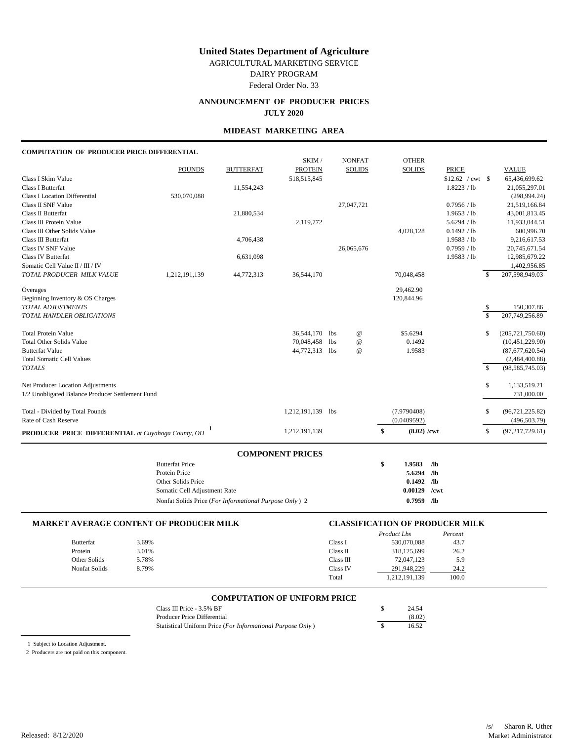AGRICULTURAL MARKETING SERVICE

DAIRY PROGRAM

Federal Order No. 33

# **ANNOUNCEMENT OF PRODUCER PRICES JULY 2020**

### **MIDEAST MARKETING AREA**

### **COMPUTATION OF PRODUCER PRICE DIFFERENTIAL**

|                                                           |               |                  | SKIM/             |            | <b>NONFAT</b>   | <b>OTHER</b>        |                   |               |                    |
|-----------------------------------------------------------|---------------|------------------|-------------------|------------|-----------------|---------------------|-------------------|---------------|--------------------|
|                                                           | <b>POUNDS</b> | <b>BUTTERFAT</b> | <b>PROTEIN</b>    |            | <b>SOLIDS</b>   | <b>SOLIDS</b>       | <b>PRICE</b>      |               | <b>VALUE</b>       |
| Class I Skim Value                                        |               |                  | 518,515,845       |            |                 |                     | $$12.62$ / cwt \$ |               | 65,436,699.62      |
| <b>Class I Butterfat</b>                                  |               | 11,554,243       |                   |            |                 |                     | 1.8223 / lb       |               | 21,055,297.01      |
| <b>Class I Location Differential</b>                      | 530,070,088   |                  |                   |            |                 |                     |                   |               | (298, 994.24)      |
| Class II SNF Value                                        |               |                  |                   |            | 27,047,721      |                     | 0.7956 / lb       |               | 21,519,166.84      |
| Class II Butterfat                                        |               | 21,880,534       |                   |            |                 |                     | 1.9653 / lb       |               | 43,001,813.45      |
| Class III Protein Value                                   |               |                  | 2,119,772         |            |                 |                     | 5.6294 / lb       |               | 11,933,044.51      |
| Class III Other Solids Value                              |               |                  |                   |            |                 | 4,028,128           | 0.1492 / lb       |               | 600,996.70         |
| Class III Butterfat                                       |               | 4,706,438        |                   |            |                 |                     | 1.9583 / lb       |               | 9,216,617.53       |
| <b>Class IV SNF Value</b>                                 |               |                  |                   |            | 26,065,676      |                     | 0.7959 / lb       |               | 20,745,671.54      |
| Class IV Butterfat                                        |               | 6,631,098        |                   |            |                 |                     | 1.9583 / lb       |               | 12,985,679.22      |
| Somatic Cell Value II / III / IV                          |               |                  |                   |            |                 |                     |                   |               | 1,402,956.85       |
| TOTAL PRODUCER MILK VALUE                                 | 1,212,191,139 | 44,772,313       | 36,544,170        |            |                 | 70,048,458          |                   | \$            | 207,598,949.03     |
| Overages                                                  |               |                  |                   |            |                 | 29,462.90           |                   |               |                    |
| Beginning Inventory & OS Charges                          |               |                  |                   |            |                 | 120,844.96          |                   |               |                    |
| <b>TOTAL ADJUSTMENTS</b>                                  |               |                  |                   |            |                 |                     |                   | \$            | 150,307.86         |
| TOTAL HANDLER OBLIGATIONS                                 |               |                  |                   |            |                 |                     |                   | $\mathsf{\$}$ | 207,749,256.89     |
| <b>Total Protein Value</b>                                |               |                  | 36,544,170        | <b>lbs</b> | $^{\copyright}$ | \$5.6294            |                   | \$            | (205, 721, 750.60) |
| <b>Total Other Solids Value</b>                           |               |                  | 70,048,458        | <b>lbs</b> | @               | 0.1492              |                   |               | (10, 451, 229.90)  |
| <b>Butterfat Value</b>                                    |               |                  | 44,772,313        | <b>lbs</b> | $^{\copyright}$ | 1.9583              |                   |               | (87,677,620.54)    |
| <b>Total Somatic Cell Values</b>                          |               |                  |                   |            |                 |                     |                   |               | (2,484,400.88)     |
| <b>TOTALS</b>                                             |               |                  |                   |            |                 |                     |                   | <sup>\$</sup> | (98, 585, 745.03)  |
| Net Producer Location Adjustments                         |               |                  |                   |            |                 |                     |                   | \$            | 1,133,519.21       |
| 1/2 Unobligated Balance Producer Settlement Fund          |               |                  |                   |            |                 |                     |                   |               | 731,000.00         |
| Total - Divided by Total Pounds                           |               |                  | 1,212,191,139 lbs |            |                 | (7.9790408)         |                   | \$            | (96, 721, 225.82)  |
| Rate of Cash Reserve                                      |               |                  |                   |            |                 | (0.0409592)         |                   |               | (496, 503.79)      |
| <b>PRODUCER PRICE DIFFERENTIAL</b> at Cuyahoga County, OH |               |                  | 1,212,191,139     |            |                 | \$<br>$(8.02)$ /cwt |                   | \$            | (97, 217, 729.61)  |
|                                                           |               |                  |                   |            |                 |                     |                   |               |                    |

| <b>Butterfat Price</b>                                 | S | 1.9583       | - /lb |
|--------------------------------------------------------|---|--------------|-------|
| Protein Price                                          |   | $5.6294$ /lb |       |
| Other Solids Price                                     |   | $0.1492$ /lb |       |
| Somatic Cell Adjustment Rate                           |   | 0.00129      | /cwt  |
| Nonfat Solids Price (For Informational Purpose Only) 2 |   | 0.7959       | /Љ    |

|                  | <b>MARKET AVERAGE CONTENT OF PRODUCER MILK</b> |           | <b>CLASSIFICATION OF PRODUCER MILK</b> |         |  |  |
|------------------|------------------------------------------------|-----------|----------------------------------------|---------|--|--|
|                  |                                                |           | Product Lbs                            | Percent |  |  |
| <b>Butterfat</b> | 3.69%                                          | Class I   | 530,070,088                            | 43.7    |  |  |
| Protein          | 3.01%                                          | Class II  | 318,125,699                            | 26.2    |  |  |
| Other Solids     | 5.78%                                          | Class III | 72,047,123                             | 5.9     |  |  |
| Nonfat Solids    | 8.79%                                          | Class IV  | 291.948.229                            | 24.2    |  |  |
|                  |                                                | Total     | 1,212,191,139                          | 100.0   |  |  |

### **COMPUTATION OF UNIFORM PRICE**

| Class III Price $-3.5\%$ BF                                | 24.54  |
|------------------------------------------------------------|--------|
| Producer Price Differential                                | (8.02) |
| Statistical Uniform Price (For Informational Purpose Only) | 16.52  |

1 Subject to Location Adjustment.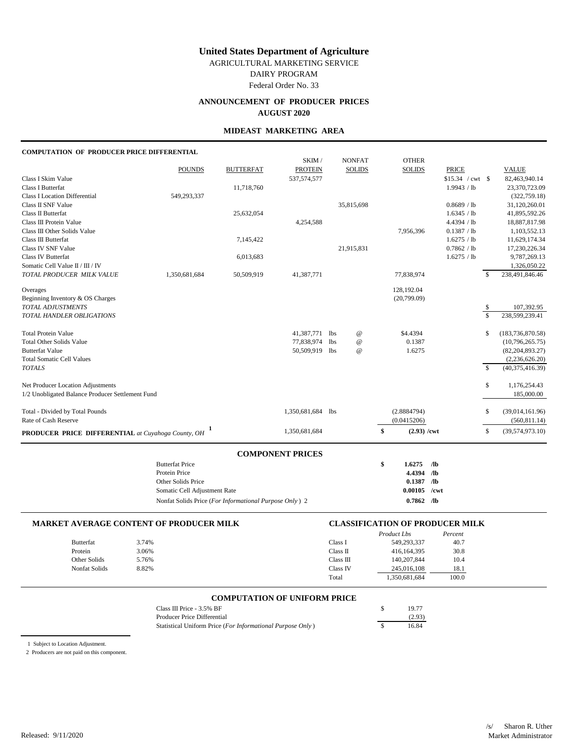AGRICULTURAL MARKETING SERVICE

DAIRY PROGRAM

Federal Order No. 33

# **ANNOUNCEMENT OF PRODUCER PRICES AUGUST 2020**

### **MIDEAST MARKETING AREA**

### **COMPUTATION OF PRODUCER PRICE DIFFERENTIAL**

|                                                                        |               |                  | SKIM /            |                 | <b>NONFAT</b>   | <b>OTHER</b>        |              |               |                    |
|------------------------------------------------------------------------|---------------|------------------|-------------------|-----------------|-----------------|---------------------|--------------|---------------|--------------------|
|                                                                        | <b>POUNDS</b> | <b>BUTTERFAT</b> | <b>PROTEIN</b>    |                 | <b>SOLIDS</b>   | <b>SOLIDS</b>       | <b>PRICE</b> |               | <b>VALUE</b>       |
| Class I Skim Value                                                     |               |                  | 537, 574, 577     |                 |                 |                     |              |               | 82,463,940.14      |
| <b>Class I Butterfat</b>                                               |               | 11,718,760       |                   |                 |                 |                     | 1.9943 / lb  |               | 23,370,723.09      |
| <b>Class I Location Differential</b>                                   | 549,293,337   |                  |                   |                 |                 |                     |              |               | (322, 759.18)      |
| Class II SNF Value                                                     |               |                  |                   |                 | 35,815,698      |                     | 0.8689 / lb  |               | 31,120,260.01      |
| Class II Butterfat                                                     |               | 25,632,054       |                   |                 |                 |                     | 1.6345 / lb  |               | 41,895,592.26      |
| Class III Protein Value                                                |               |                  | 4,254,588         |                 |                 |                     | 4.4394 / lb  |               | 18,887,817.98      |
| Class III Other Solids Value                                           |               |                  |                   |                 |                 | 7,956,396           | 0.1387 / lb  |               | 1,103,552.13       |
| Class III Butterfat                                                    |               | 7,145,422        |                   |                 |                 |                     | 1.6275 / lb  |               | 11,629,174.34      |
| <b>Class IV SNF Value</b>                                              |               |                  |                   |                 | 21,915,831      |                     | 0.7862 / lb  |               | 17,230,226.34      |
| <b>Class IV Butterfat</b>                                              |               | 6,013,683        |                   |                 |                 |                     | 1.6275 / lb  |               | 9,787,269.13       |
| Somatic Cell Value II / III / IV                                       |               |                  |                   |                 |                 |                     |              |               | 1,326,050.22       |
| TOTAL PRODUCER MILK VALUE                                              | 1,350,681,684 | 50,509,919       | 41,387,771        |                 |                 | 77,838,974          |              | \$            | 238,491,846.46     |
| Overages                                                               |               |                  |                   |                 |                 | 128,192.04          |              |               |                    |
| Beginning Inventory & OS Charges                                       |               |                  |                   |                 |                 | (20,799.09)         |              |               |                    |
| TOTAL ADJUSTMENTS                                                      |               |                  |                   |                 |                 |                     |              | \$            | 107,392.95         |
| TOTAL HANDLER OBLIGATIONS                                              |               |                  |                   |                 |                 |                     |              | $\mathcal{S}$ | 238,599,239.41     |
| <b>Total Protein Value</b>                                             |               |                  | 41,387,771 lbs    |                 | $^{\copyright}$ | \$4.4394            |              | \$            | (183, 736, 870.58) |
| <b>Total Other Solids Value</b>                                        |               |                  | 77,838,974        | 1 <sub>bs</sub> | $^{\copyright}$ | 0.1387              |              |               | (10,796,265.75)    |
| <b>Butterfat Value</b>                                                 |               |                  | 50,509,919 lbs    |                 | $^{\copyright}$ | 1.6275              |              |               | (82, 204, 893.27)  |
| <b>Total Somatic Cell Values</b>                                       |               |                  |                   |                 |                 |                     |              |               | (2,236,626.20)     |
| <b>TOTALS</b>                                                          |               |                  |                   |                 |                 |                     |              | $\mathcal{S}$ | (40, 375, 416.39)  |
| Net Producer Location Adjustments                                      |               |                  |                   |                 |                 |                     |              | \$            | 1,176,254.43       |
| 1/2 Unobligated Balance Producer Settlement Fund                       |               |                  |                   |                 |                 |                     |              |               | 185,000.00         |
| Total - Divided by Total Pounds                                        |               |                  | 1,350,681,684 lbs |                 |                 | (2.8884794)         |              | \$            | (39,014,161.96)    |
| Rate of Cash Reserve                                                   |               |                  |                   |                 |                 | (0.0415206)         |              |               | (560, 811.14)      |
| <b>PRODUCER PRICE DIFFERENTIAL</b> at Cuyahoga County, OH <sup>1</sup> |               |                  | 1,350,681,684     |                 |                 | \$<br>$(2.93)$ /cwt |              | \$            | (39, 574, 973.10)  |

| <b>COMPONENT PRICES</b>                                |   |         |       |
|--------------------------------------------------------|---|---------|-------|
| <b>Butterfat Price</b>                                 | S | 1.6275  | - /lb |
| Protein Price                                          |   | 4.4394  | /1Ь   |
| Other Solids Price                                     |   | 0.1387  | ЛЬ    |
| Somatic Cell Adjustment Rate                           |   | 0.00105 | /cwt  |
| Nonfat Solids Price (For Informational Purpose Only) 2 |   | 0.7862  | /Љ    |

| <b>MARKET AVERAGE CONTENT OF PRODUCER MILK</b> |       |           | <b>CLASSIFICATION OF PRODUCER MILK</b> |         |
|------------------------------------------------|-------|-----------|----------------------------------------|---------|
|                                                |       |           | Product Lbs                            | Percent |
| <b>Butterfat</b>                               | 3.74% | Class I   | 549.293.337                            | 40.7    |
| Protein                                        | 3.06% | Class II  | 416.164.395                            | 30.8    |
| Other Solids                                   | 5.76% | Class III | 140,207,844                            | 10.4    |
| Nonfat Solids                                  | 8.82% | Class IV  | 245,016,108                            | 18.1    |
|                                                |       | Total     | 1,350,681,684                          | 100.0   |

### **COMPUTATION OF UNIFORM PRICE**

| Class III Price $-3.5\%$ BF                                | 19.77  |
|------------------------------------------------------------|--------|
| Producer Price Differential                                | (2.93) |
| Statistical Uniform Price (For Informational Purpose Only) | 16.84  |

1 Subject to Location Adjustment.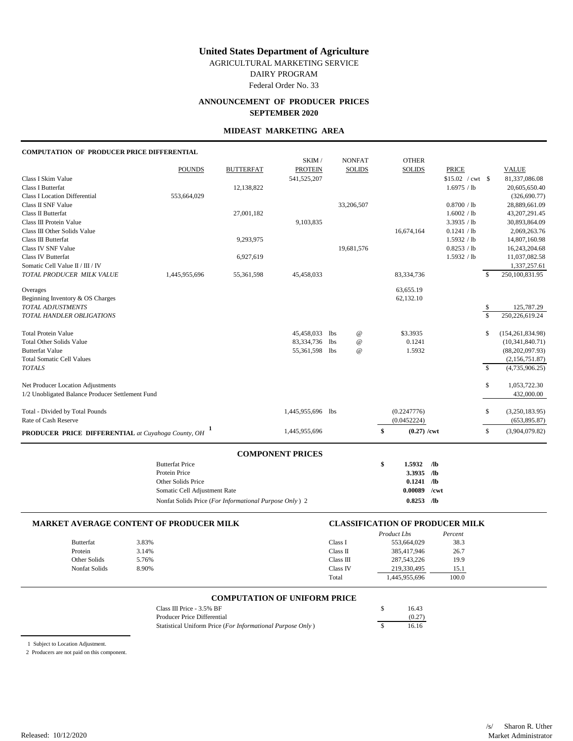AGRICULTURAL MARKETING SERVICE

DAIRY PROGRAM

Federal Order No. 33

# **ANNOUNCEMENT OF PRODUCER PRICES SEPTEMBER 2020**

### **MIDEAST MARKETING AREA**

### **COMPUTATION OF PRODUCER PRICE DIFFERENTIAL**

|                                                                                       |               |                  | $\alpha$ $\alpha$ , $\alpha$ $\alpha$ , $\alpha$ , $\alpha$ , $\alpha$ , $\alpha$ , $\alpha$ , $\alpha$ |                 |                 |                        |                                         |               |                                |
|---------------------------------------------------------------------------------------|---------------|------------------|---------------------------------------------------------------------------------------------------------|-----------------|-----------------|------------------------|-----------------------------------------|---------------|--------------------------------|
| <b>PRODUCER PRICE DIFFERENTIAL</b> at Cuyahoga County, OH <sup>1</sup>                |               |                  | 1,445,955,696                                                                                           |                 |                 | $(0.27)$ /cwt<br>\$    |                                         | \$            | (3,904,079.82)                 |
| Rate of Cash Reserve                                                                  |               |                  |                                                                                                         |                 |                 | (0.0452224)            |                                         |               | (653, 895.87)                  |
| Total - Divided by Total Pounds                                                       |               |                  | 1,445,955,696 lbs                                                                                       |                 |                 | (0.2247776)            |                                         | \$            | (3,250,183.95)                 |
| Net Producer Location Adjustments<br>1/2 Unobligated Balance Producer Settlement Fund |               |                  |                                                                                                         |                 |                 |                        |                                         | \$            | 1,053,722.30<br>432,000.00     |
| <b>TOTALS</b>                                                                         |               |                  |                                                                                                         |                 |                 |                        |                                         | $\mathbb{S}$  | (4,735,906.25)                 |
| <b>Total Somatic Cell Values</b>                                                      |               |                  |                                                                                                         |                 |                 |                        |                                         |               | (2,156,751.87)                 |
| <b>Butterfat Value</b>                                                                |               |                  | 55,361,598 lbs                                                                                          |                 | $^{\omega}$     | 1.5932                 |                                         |               | (88, 202, 097.93)              |
| <b>Total Other Solids Value</b>                                                       |               |                  | 83,334,736                                                                                              | 1 <sub>bs</sub> | $^{\copyright}$ | 0.1241                 |                                         |               | (10, 341, 840.71)              |
| <b>Total Protein Value</b>                                                            |               |                  | 45,458,033                                                                                              | <b>lbs</b>      | $^{\copyright}$ | \$3.3935               |                                         | \$            | (154, 261, 834.98)             |
| TOTAL HANDLER OBLIGATIONS                                                             |               |                  |                                                                                                         |                 |                 |                        |                                         | $\mathcal{S}$ | 250,226,619.24                 |
| TOTAL ADJUSTMENTS                                                                     |               |                  |                                                                                                         |                 |                 |                        |                                         | \$            | 125,787.29                     |
| Overages<br>Beginning Inventory & OS Charges                                          |               |                  |                                                                                                         |                 |                 | 63,655.19<br>62,132.10 |                                         |               |                                |
| TOTAL PRODUCER MILK VALUE                                                             | 1,445,955,696 | 55,361,598       | 45,458,033                                                                                              |                 |                 | 83,334,736             |                                         | \$            | 250,100,831.95                 |
| Somatic Cell Value II / III / IV                                                      |               |                  |                                                                                                         |                 |                 |                        |                                         |               | 1,337,257.61                   |
| <b>Class IV Butterfat</b>                                                             |               | 6,927,619        |                                                                                                         |                 |                 |                        | 1.5932 / lb                             |               | 11,037,082.58                  |
| <b>Class IV SNF Value</b>                                                             |               |                  |                                                                                                         |                 | 19,681,576      |                        | 0.8253 / lb                             |               | 16,243,204.68                  |
| Class III Butterfat                                                                   |               | 9,293,975        |                                                                                                         |                 |                 |                        | 1.5932 / lb                             |               | 14,807,160.98                  |
| Class III Other Solids Value                                                          |               |                  |                                                                                                         |                 |                 | 16,674,164             | 0.1241 / lb                             |               | 2,069,263.76                   |
| Class III Protein Value                                                               |               |                  | 9,103,835                                                                                               |                 |                 |                        | 3.3935 / lb                             |               | 30,893,864.09                  |
| Class II Butterfat                                                                    |               | 27,001,182       |                                                                                                         |                 |                 |                        | 1.6002 / lb                             |               | 43, 207, 291. 45               |
| Class II SNF Value                                                                    |               |                  |                                                                                                         |                 | 33,206,507      |                        | 0.8700 / lb                             |               | 28,889,661.09                  |
| <b>Class I Location Differential</b>                                                  | 553,664,029   |                  |                                                                                                         |                 |                 |                        |                                         |               | 20,605,650.40<br>(326, 690.77) |
| Class I Skim Value<br><b>Class I Butterfat</b>                                        |               | 12,138,822       | 541,525,207                                                                                             |                 |                 |                        | $$15.02 / \text{cwt}$ \$<br>1.6975 / lb |               | 81,337,086.08                  |
|                                                                                       | <b>POUNDS</b> | <b>BUTTERFAT</b> | <b>PROTEIN</b>                                                                                          |                 | <b>SOLIDS</b>   | <b>SOLIDS</b>          | <b>PRICE</b>                            |               | <b>VALUE</b>                   |
|                                                                                       |               |                  | SKIM /                                                                                                  |                 | <b>NONFAT</b>   | <b>OTHER</b>           |                                         |               |                                |
|                                                                                       |               |                  |                                                                                                         |                 |                 |                        |                                         |               |                                |

| <b>Butterfat Price</b>                                 | S | 1.5932  | /lb        |
|--------------------------------------------------------|---|---------|------------|
| Protein Price                                          |   | 3.3935  | ЛЬ         |
| Other Solids Price                                     |   | 0.1241  | $\sqrt{2}$ |
| Somatic Cell Adjustment Rate                           |   | 0.00089 | $/$ cwt    |
| Nonfat Solids Price (For Informational Purpose Only) 2 |   | 0.8253  | $\sqrt{2}$ |

|               | <b>MARKET AVERAGE CONTENT OF PRODUCER MILK</b> |  |           | <b>CLASSIFICATION OF PRODUCER MILK</b> |         |
|---------------|------------------------------------------------|--|-----------|----------------------------------------|---------|
|               |                                                |  |           | Product Lbs                            | Percent |
| Butterfat     | 3.83%                                          |  | Class I   | 553,664,029                            | 38.3    |
| Protein       | 3.14%                                          |  | Class II  | 385,417,946                            | 26.7    |
| Other Solids  | 5.76%                                          |  | Class III | 287, 543, 226                          | 19.9    |
| Nonfat Solids | 8.90%                                          |  | Class IV  | 219.330.495                            | 15.1    |
|               |                                                |  | Total     | 1,445,955,696                          | 100.0   |

### **COMPUTATION OF UNIFORM PRICE**

| Class III Price $-3.5\%$ BF                                |  | 16.43  |
|------------------------------------------------------------|--|--------|
| Producer Price Differential                                |  | (0.27) |
| Statistical Uniform Price (For Informational Purpose Only) |  | 16.16  |

1 Subject to Location Adjustment.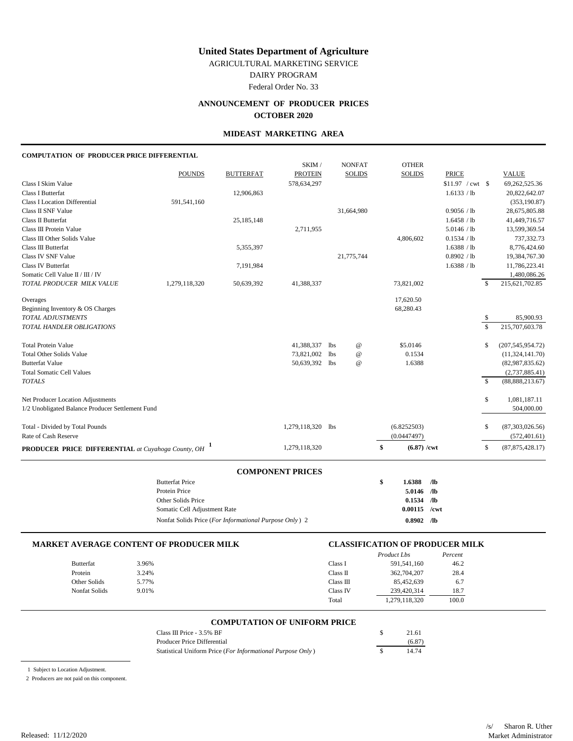AGRICULTURAL MARKETING SERVICE

DAIRY PROGRAM Federal Order No. 33

# **ANNOUNCEMENT OF PRODUCER PRICES**

### **OCTOBER 2020**

### **MIDEAST MARKETING AREA**

#### **COMPUTATION OF PRODUCER PRICE DIFFERENTIAL**

| <b>PRODUCER PRICE DIFFERENTIAL</b> at Cuyahoga County, OH     |               |                  | 1,279,118,320            |                               |                                    | $(6.87)$ /cwt<br>\$ |                            | \$                      | (87, 875, 428.17)                       |
|---------------------------------------------------------------|---------------|------------------|--------------------------|-------------------------------|------------------------------------|---------------------|----------------------------|-------------------------|-----------------------------------------|
| Rate of Cash Reserve                                          |               |                  |                          |                               |                                    | (0.0447497)         |                            |                         | (572, 401.61)                           |
| Total - Divided by Total Pounds                               |               |                  | 1,279,118,320 lbs        |                               |                                    | (6.8252503)         |                            | S.                      | (87,303,026.56)                         |
| 1/2 Unobligated Balance Producer Settlement Fund              |               |                  |                          |                               |                                    |                     |                            |                         | 504,000.00                              |
| Net Producer Location Adjustments                             |               |                  |                          |                               |                                    |                     |                            | \$                      | 1,081,187.11                            |
| <b>TOTALS</b>                                                 |               |                  |                          |                               |                                    |                     |                            | $\mathbf S$             | (88, 888, 213.67)                       |
| <b>Total Somatic Cell Values</b>                              |               |                  |                          |                               |                                    |                     |                            |                         | (2,737,885.41)                          |
| <b>Butterfat Value</b>                                        |               |                  | 50,639,392 lbs           |                               | $^{\copyright}$                    | 1.6388              |                            |                         | (82,987,835.62)                         |
| <b>Total Protein Value</b><br><b>Total Other Solids Value</b> |               |                  | 41,388,337<br>73,821,002 | <b>lbs</b><br>1 <sub>bs</sub> | $^{\copyright}$<br>$^{\copyright}$ | \$5,0146<br>0.1534  |                            | \$                      | (207, 545, 954.72)<br>(11, 324, 141.70) |
|                                                               |               |                  |                          |                               |                                    |                     |                            |                         |                                         |
| TOTAL HANDLER OBLIGATIONS                                     |               |                  |                          |                               |                                    |                     |                            | $\overline{\mathbf{s}}$ | 215,707,603.78                          |
| TOTAL ADJUSTMENTS                                             |               |                  |                          |                               |                                    |                     |                            | \$                      | 85,900.93                               |
| Overages<br>Beginning Inventory & OS Charges                  |               |                  |                          |                               |                                    | 68,280.43           |                            |                         |                                         |
|                                                               |               |                  |                          |                               |                                    | 17,620.50           |                            |                         |                                         |
| TOTAL PRODUCER MILK VALUE                                     | 1,279,118,320 | 50,639,392       | 41,388,337               |                               |                                    | 73,821,002          |                            | \$                      | 215, 621, 702.85                        |
| Somatic Cell Value II / III / IV                              |               |                  |                          |                               |                                    |                     |                            |                         | 1,480,086.26                            |
| <b>Class IV Butterfat</b>                                     |               | 7,191,984        |                          |                               |                                    |                     | 1.6388 / lb                |                         | 11,786,223.41                           |
| Class IV SNF Value                                            |               | 5,355,397        |                          |                               | 21,775,744                         |                     | 0.8902 / lb                |                         | 8,776,424.60<br>19,384,767.30           |
| Class III Other Solids Value<br>Class III Butterfat           |               |                  |                          |                               |                                    | 4,806,602           | 0.1534 / lb<br>1.6388 / lb |                         | 737,332.73                              |
| Class III Protein Value                                       |               |                  | 2,711,955                |                               |                                    |                     | 5.0146 / lb                |                         | 13,599,369.54                           |
| Class II Butterfat                                            |               | 25,185,148       |                          |                               |                                    |                     | 1.6458 / lb                |                         | 41,449,716.57                           |
| Class II SNF Value                                            |               |                  |                          |                               | 31,664,980                         |                     | 0.9056 / lb                |                         | 28,675,805.88                           |
| <b>Class I Location Differential</b>                          | 591,541,160   |                  |                          |                               |                                    |                     |                            |                         | (353, 190.87)                           |
| Class I Butterfat                                             |               | 12,906,863       |                          |                               |                                    |                     | 1.6133 / lb                |                         | 20,822,642.07                           |
| Class I Skim Value                                            |               |                  | 578,634,297              |                               |                                    |                     | $$11.97$ / cwt \\$         |                         | 69,262,525.36                           |
|                                                               | <b>POUNDS</b> | <b>BUTTERFAT</b> | <b>PROTEIN</b>           |                               | <b>SOLIDS</b>                      | <b>SOLIDS</b>       | <b>PRICE</b>               |                         | <b>VALUE</b>                            |
|                                                               |               |                  | SKIM /                   |                               | <b>NONFAT</b>                      | <b>OTHER</b>        |                            |                         |                                         |

#### **COMPONENT PRICES**

| <b>Butterfat Price</b>                                 | \$<br>1.6388   | Лb    |
|--------------------------------------------------------|----------------|-------|
| Protein Price                                          | 5.0146         | ЛЬ    |
| Other Solids Price                                     | 0.1534         | - /lb |
| Somatic Cell Adjustment Rate                           | $0.00115$ /cwt |       |
| Nonfat Solids Price (For Informational Purpose Only) 2 | 0.8902         | Лb    |

### **MARKET AVERAGE CONTENT OF PRODUCER MILK CLASSIFICATION OF PRODUCER MILK**

|                      |       |           | Product Lbs   | Percent |
|----------------------|-------|-----------|---------------|---------|
| Butterfat            | 3.96% | Class 1   | 591,541,160   | 46.2    |
| Protein              | 3.24% | Class II  | 362,704,207   | 28.4    |
| Other Solids         | 5.77% | Class III | 85,452,639    | 6.7     |
| <b>Nonfat Solids</b> | 9.01% | Class IV  | 239,420,314   | 18.7    |
|                      |       | Total     | 1,279,118,320 | 100.0   |

### **COMPUTATION OF UNIFORM PRICE**

| Class III Price $-3.5\%$ BF                                | 21.61  |
|------------------------------------------------------------|--------|
| Producer Price Differential                                | (6.87) |
| Statistical Uniform Price (For Informational Purpose Only) | 14.74  |

1 Subject to Location Adjustment.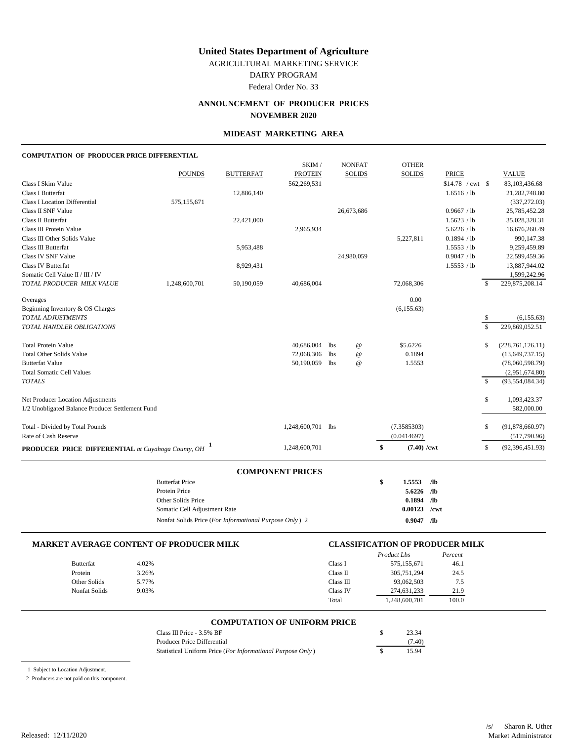AGRICULTURAL MARKETING SERVICE

DAIRY PROGRAM

Federal Order No. 33

# **ANNOUNCEMENT OF PRODUCER PRICES NOVEMBER 2020**

### **MIDEAST MARKETING AREA**

#### **COMPUTATION OF PRODUCER PRICE DIFFERENTIAL**

|                                                     | <b>Butterfat Price</b> |                  |                         |                 |                 | \$<br>1.5553<br>$\sqrt{a}$ |                            |              |                            |
|-----------------------------------------------------|------------------------|------------------|-------------------------|-----------------|-----------------|----------------------------|----------------------------|--------------|----------------------------|
|                                                     |                        |                  | <b>COMPONENT PRICES</b> |                 |                 |                            |                            |              |                            |
| PRODUCER PRICE DIFFERENTIAL at Cuyahoga County, OH  |                        |                  | 1,248,600,701           |                 |                 | \$<br>$(7.40)$ /cwt        |                            | \$           | (92, 396, 451.93)          |
| Rate of Cash Reserve                                |                        |                  |                         |                 |                 | (0.0414697)                |                            |              | (517,790.96)               |
| Total - Divided by Total Pounds                     |                        |                  | 1,248,600,701 lbs       |                 |                 | (7.3585303)                |                            | \$           | (91,878,660.97)            |
| 1/2 Unobligated Balance Producer Settlement Fund    |                        |                  |                         |                 |                 |                            |                            |              | 582,000.00                 |
| Net Producer Location Adjustments                   |                        |                  |                         |                 |                 |                            |                            | \$           | 1,093,423.37               |
| <b>TOTALS</b>                                       |                        |                  |                         |                 |                 |                            |                            | $\mathbf{s}$ | (93, 554, 084.34)          |
| <b>Total Somatic Cell Values</b>                    |                        |                  |                         |                 |                 |                            |                            |              | (2,951,674.80)             |
| <b>Butterfat Value</b>                              |                        |                  | 50,190,059              | <b>lbs</b>      | $^\copyright$   | 1.5553                     |                            |              | (78,060,598.79)            |
| <b>Total Other Solids Value</b>                     |                        |                  | 72,068,306              | 1 <sub>bs</sub> | $^{\copyright}$ | 0.1894                     |                            |              | (13, 649, 737.15)          |
| <b>Total Protein Value</b>                          |                        |                  | 40,686,004              | 1 <sub>bs</sub> | $^{\copyright}$ | \$5.6226                   |                            | \$           | (228, 761, 126.11)         |
| TOTAL HANDLER OBLIGATIONS                           |                        |                  |                         |                 |                 |                            |                            | \$           | 229,869,052.51             |
| TOTAL ADJUSTMENTS                                   |                        |                  |                         |                 |                 |                            |                            | \$           | (6, 155.63)                |
| Beginning Inventory & OS Charges                    |                        |                  |                         |                 |                 | (6, 155.63)                |                            |              |                            |
| Overages                                            |                        |                  |                         |                 |                 | 0.00                       |                            |              |                            |
| TOTAL PRODUCER MILK VALUE                           | 1,248,600,701          | 50,190,059       | 40,686,004              |                 |                 | 72,068,306                 |                            | \$           | 229,875,208.14             |
| Somatic Cell Value II / III / IV                    |                        |                  |                         |                 |                 |                            |                            |              | 1,599,242.96               |
| <b>Class IV Butterfat</b>                           |                        | 8,929,431        |                         |                 |                 |                            | 1.5553 / lb                |              | 13,887,944.02              |
| Class IV SNF Value                                  |                        |                  |                         |                 | 24,980,059      |                            | 0.9047 / lb                |              | 22,599,459.36              |
| Class III Other Solids Value<br>Class III Butterfat |                        | 5,953,488        |                         |                 |                 | 5,227,811                  | 0.1894 / lb<br>1.5553 / lb |              | 990,147.38<br>9,259,459.89 |
| Class III Protein Value                             |                        |                  | 2,965,934               |                 |                 |                            | 5.6226 / lb                |              | 16,676,260.49              |
| Class II Butterfat                                  |                        | 22,421,000       |                         |                 |                 |                            | 1.5623 / lb                |              | 35,028,328.31              |
| Class II SNF Value                                  |                        |                  |                         |                 | 26,673,686      |                            | 0.9667 / lb                |              | 25,785,452.28              |
| <b>Class I Location Differential</b>                | 575,155,671            |                  |                         |                 |                 |                            |                            |              | (337, 272.03)              |
| <b>Class I Butterfat</b>                            |                        | 12,886,140       |                         |                 |                 |                            | 1.6516 / lb                |              | 21,282,748.80              |
| Class I Skim Value                                  |                        |                  | 562,269,531             |                 |                 |                            | $$14.78$ / cwt \$          |              | 83,103,436.68              |
|                                                     | <b>POUNDS</b>          | <b>BUTTERFAT</b> | <b>PROTEIN</b>          |                 | <b>SOLIDS</b>   | <b>SOLIDS</b>              | <b>PRICE</b>               |              | <b>VALUE</b>               |
|                                                     |                        |                  | SKIM /                  |                 | <b>NONFAT</b>   | <b>OTHER</b>               |                            |              |                            |

| Duuchal Filco                                          | 1.3333 /10     |  |
|--------------------------------------------------------|----------------|--|
| Protein Price                                          | $5.6226$ /lb   |  |
| Other Solids Price                                     | $0.1894$ /lb   |  |
| Somatic Cell Adjustment Rate                           | $0.00123$ /cwt |  |
| Nonfat Solids Price (For Informational Purpose Only) 2 | $0.9047$ /lb   |  |
|                                                        |                |  |

### **MARKET AVERAGE CONTENT OF PRODUCER MILK CLASSIFICATION OF PRODUCER MILK** *Product Lbs Percent* Butterfat 4.02% 4.02% Class I 575,155,671 46.1 Protein 3.26% 3.26% Class II 305,751,294 24.5 Other Solids 5.77% 5.77% Class II 93,062,503 7.5 Nonfat Solids 9.03% 9.03% Class IV 274,631,233 21.9 Total 1,248,600,701 100.0

# **COMPUTATION OF UNIFORM PRICE**

| Class III Price $-3.5\%$ BF                                | 23.34  |
|------------------------------------------------------------|--------|
| Producer Price Differential                                | (7.40) |
| Statistical Uniform Price (For Informational Purpose Only) | 15.94  |

1 Subject to Location Adjustment.